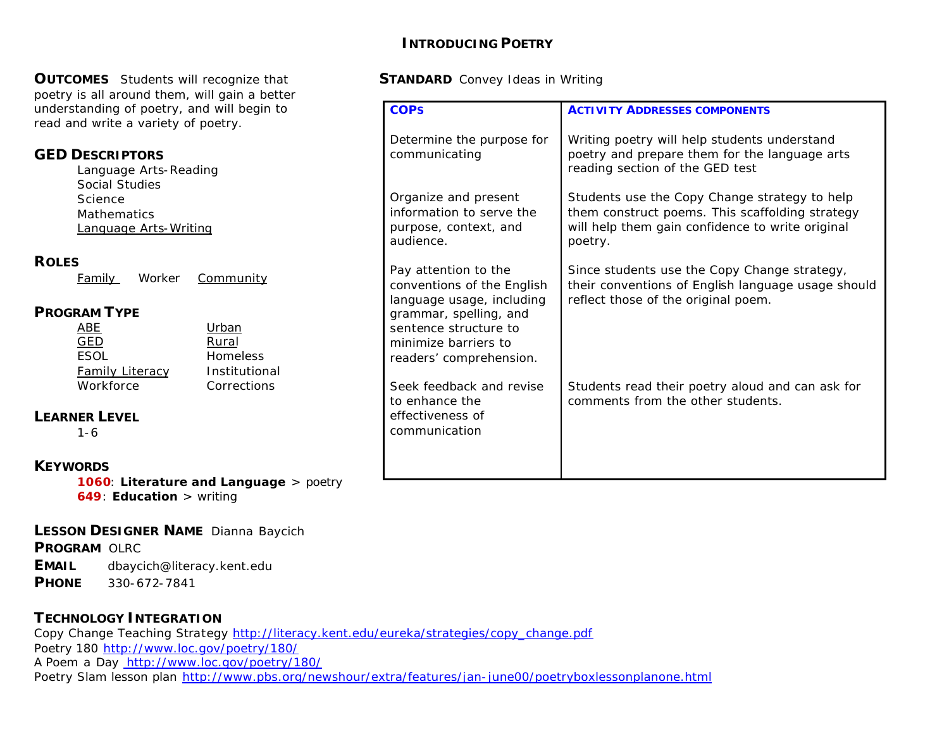#### **INTRODUCING POETRY**

#### **OUTCOMES** Students will recognize that **STANDARD** Convey Ideas in Writing

| poetry is all around them, will gain a better                                                                                                  |                                                                                                    |                                                                                                                                                                 |  |
|------------------------------------------------------------------------------------------------------------------------------------------------|----------------------------------------------------------------------------------------------------|-----------------------------------------------------------------------------------------------------------------------------------------------------------------|--|
| understanding of poetry, and will begin to<br>read and write a variety of poetry.                                                              | <b>COPS</b>                                                                                        | <b>ACTIVITY ADDRESSES COMPONENTS</b>                                                                                                                            |  |
| <b>GED DESCRIPTORS</b><br>Language Arts-Reading<br><b>Social Studies</b>                                                                       | Determine the purpose for<br>communicating                                                         | Writing poetry will help students understand<br>poetry and prepare them for the language arts<br>reading section of the GED test                                |  |
| Science<br>Mathematics<br>Language Arts-Writing                                                                                                | Organize and present<br>information to serve the<br>purpose, context, and<br>audience.             | Students use the Copy Change strategy to help<br>them construct poems. This scaffolding strategy<br>will help them gain confidence to write original<br>poetry. |  |
| <b>ROLES</b><br>Community<br>Worker<br>Family                                                                                                  | Pay attention to the<br>conventions of the English<br>language usage, including                    | Since students use the Copy Change strategy,<br>their conventions of English language usage should<br>reflect those of the original poem.                       |  |
| <b>PROGRAM TYPE</b><br>Urban<br><b>ABE</b><br><b>GED</b><br>Rural<br><b>ESOL</b><br><b>Homeless</b><br><b>Family Literacy</b><br>Institutional | grammar, spelling, and<br>sentence structure to<br>minimize barriers to<br>readers' comprehension. |                                                                                                                                                                 |  |
| Workforce<br>Corrections                                                                                                                       | Seek feedback and revise<br>to enhance the                                                         | Students read their poetry aloud and can ask for<br>comments from the other students.                                                                           |  |
| <b>LEARNER LEVEL</b><br>$1 - 6$                                                                                                                | effectiveness of<br>communication                                                                  |                                                                                                                                                                 |  |
| <b>KEYWORDS</b>                                                                                                                                |                                                                                                    |                                                                                                                                                                 |  |
| <b>1060: Literature and Language</b> $>$ poetry                                                                                                |                                                                                                    |                                                                                                                                                                 |  |

**649**: **Education** > writing

#### **LESSON DESIGNER NAME** Dianna Baycich

**PROGRAM** OLRC

**EMAIL** dbaycich@literacy.kent.edu

**PHONE** 330-672-7841

#### **TECHNOLOGY INTEGRATION**

Copy Change Teaching Strategy http://literacy.kent.edu/eureka/strategies/copy\_change.pdf Poetry 180 http://www.loc.gov/poetry/180/ A Poem a Day http://www.loc.gov/poetry/180/ Poetry Slam lesson plan http://www.pbs.org/newshour/extra/features/jan-june00/poetryboxlessonplanone.html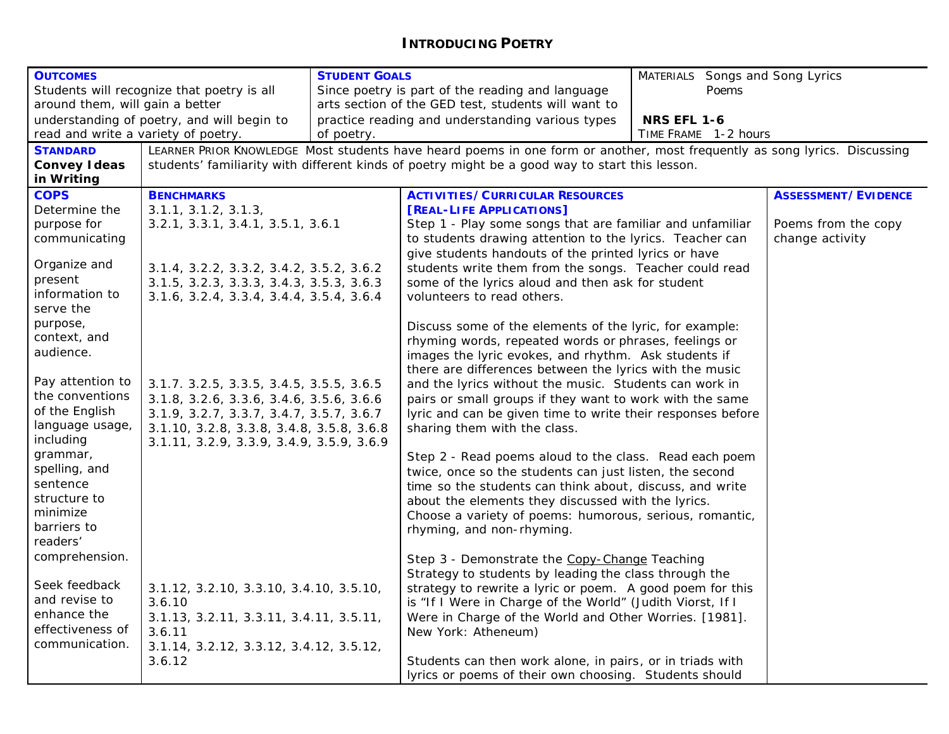### **INTRODUCING POETRY**

| <b>OUTCOMES</b>                                   |                                                                                                                           | <b>STUDENT GOALS</b>                                |                                                                                                                                            | MATERIALS Songs and Song Lyrics |                            |
|---------------------------------------------------|---------------------------------------------------------------------------------------------------------------------------|-----------------------------------------------------|--------------------------------------------------------------------------------------------------------------------------------------------|---------------------------------|----------------------------|
| Students will recognize that poetry is all        |                                                                                                                           | Since poetry is part of the reading and language    | Poems                                                                                                                                      |                                 |                            |
| around them, will gain a better                   |                                                                                                                           | arts section of the GED test, students will want to |                                                                                                                                            |                                 |                            |
| understanding of poetry, and will begin to        |                                                                                                                           | practice reading and understanding various types    | <b>NRS EFL 1-6</b>                                                                                                                         |                                 |                            |
| read and write a variety of poetry.<br>of poetry. |                                                                                                                           | TIME FRAME 1-2 hours                                |                                                                                                                                            |                                 |                            |
| <b>STANDARD</b>                                   | LEARNER PRIOR KNOWLEDGE Most students have heard poems in one form or another, most frequently as song lyrics. Discussing |                                                     |                                                                                                                                            |                                 |                            |
| <b>Convey Ideas</b>                               | students' familiarity with different kinds of poetry might be a good way to start this lesson.                            |                                                     |                                                                                                                                            |                                 |                            |
| in Writing                                        |                                                                                                                           |                                                     |                                                                                                                                            |                                 |                            |
| <b>COPS</b>                                       | <b>BENCHMARKS</b>                                                                                                         |                                                     | <b>ACTIVITIES/CURRICULAR RESOURCES</b>                                                                                                     |                                 | <b>ASSESSMENT/EVIDENCE</b> |
| Determine the                                     | 3.1.1, 3.1.2, 3.1.3,                                                                                                      |                                                     | [REAL-LIFE APPLICATIONS]                                                                                                                   |                                 |                            |
| purpose for                                       | 3.2.1, 3.3.1, 3.4.1, 3.5.1, 3.6.1                                                                                         |                                                     | Step 1 - Play some songs that are familiar and unfamiliar                                                                                  |                                 | Poems from the copy        |
| communicating                                     |                                                                                                                           |                                                     | to students drawing attention to the lyrics. Teacher can                                                                                   |                                 | change activity            |
|                                                   |                                                                                                                           |                                                     | give students handouts of the printed lyrics or have                                                                                       |                                 |                            |
| Organize and                                      | 3.1.4, 3.2.2, 3.3.2, 3.4.2, 3.5.2, 3.6.2                                                                                  |                                                     | students write them from the songs. Teacher could read                                                                                     |                                 |                            |
| present                                           | 3.1.5, 3.2.3, 3.3.3, 3.4.3, 3.5.3, 3.6.3                                                                                  |                                                     | some of the lyrics aloud and then ask for student                                                                                          |                                 |                            |
| information to                                    | 3.1.6, 3.2.4, 3.3.4, 3.4.4, 3.5.4, 3.6.4                                                                                  |                                                     | volunteers to read others.                                                                                                                 |                                 |                            |
| serve the                                         |                                                                                                                           |                                                     |                                                                                                                                            |                                 |                            |
| purpose,                                          |                                                                                                                           |                                                     | Discuss some of the elements of the lyric, for example:                                                                                    |                                 |                            |
| context, and                                      |                                                                                                                           |                                                     | rhyming words, repeated words or phrases, feelings or                                                                                      |                                 |                            |
| audience.                                         |                                                                                                                           |                                                     | images the lyric evokes, and rhythm. Ask students if                                                                                       |                                 |                            |
|                                                   |                                                                                                                           |                                                     | there are differences between the lyrics with the music                                                                                    |                                 |                            |
| Pay attention to                                  | 3.1.7. 3.2.5, 3.3.5, 3.4.5, 3.5.5, 3.6.5                                                                                  |                                                     | and the lyrics without the music. Students can work in                                                                                     |                                 |                            |
| the conventions                                   | 3.1.8, 3.2.6, 3.3.6, 3.4.6, 3.5.6, 3.6.6                                                                                  |                                                     | pairs or small groups if they want to work with the same                                                                                   |                                 |                            |
| of the English                                    | 3.1.9, 3.2.7, 3.3.7, 3.4.7, 3.5.7, 3.6.7                                                                                  |                                                     | lyric and can be given time to write their responses before                                                                                |                                 |                            |
| language usage,                                   | 3.1.10, 3.2.8, 3.3.8, 3.4.8, 3.5.8, 3.6.8                                                                                 |                                                     | sharing them with the class.                                                                                                               |                                 |                            |
| including                                         | 3.1.11, 3.2.9, 3.3.9, 3.4.9, 3.5.9, 3.6.9                                                                                 |                                                     |                                                                                                                                            |                                 |                            |
| grammar,                                          |                                                                                                                           |                                                     | Step 2 - Read poems aloud to the class. Read each poem                                                                                     |                                 |                            |
| spelling, and                                     |                                                                                                                           |                                                     | twice, once so the students can just listen, the second                                                                                    |                                 |                            |
| sentence                                          |                                                                                                                           |                                                     | time so the students can think about, discuss, and write                                                                                   |                                 |                            |
| structure to                                      |                                                                                                                           |                                                     | about the elements they discussed with the lyrics.                                                                                         |                                 |                            |
| minimize                                          |                                                                                                                           |                                                     | Choose a variety of poems: humorous, serious, romantic,                                                                                    |                                 |                            |
| barriers to                                       |                                                                                                                           |                                                     | rhyming, and non-rhyming.                                                                                                                  |                                 |                            |
| readers'                                          |                                                                                                                           |                                                     |                                                                                                                                            |                                 |                            |
| comprehension.                                    |                                                                                                                           |                                                     | Step 3 - Demonstrate the Copy-Change Teaching                                                                                              |                                 |                            |
|                                                   |                                                                                                                           |                                                     | Strategy to students by leading the class through the                                                                                      |                                 |                            |
| Seek feedback                                     | 3.1.12, 3.2.10, 3.3.10, 3.4.10, 3.5.10,                                                                                   |                                                     | strategy to rewrite a lyric or poem. A good poem for this                                                                                  |                                 |                            |
| and revise to                                     | 3.6.10                                                                                                                    |                                                     | is "If I Were in Charge of the World" (Judith Viorst, If I                                                                                 |                                 |                            |
| enhance the                                       | 3.1.13, 3.2.11, 3.3.11, 3.4.11, 3.5.11,                                                                                   |                                                     | Were in Charge of the World and Other Worries. [1981].                                                                                     |                                 |                            |
| effectiveness of                                  | 3.6.11                                                                                                                    |                                                     |                                                                                                                                            |                                 |                            |
| communication.                                    |                                                                                                                           |                                                     |                                                                                                                                            |                                 |                            |
|                                                   |                                                                                                                           |                                                     |                                                                                                                                            |                                 |                            |
|                                                   |                                                                                                                           |                                                     |                                                                                                                                            |                                 |                            |
|                                                   | 3.1.14, 3.2.12, 3.3.12, 3.4.12, 3.5.12,<br>3.6.12                                                                         |                                                     | New York: Atheneum)<br>Students can then work alone, in pairs, or in triads with<br>lyrics or poems of their own choosing. Students should |                                 |                            |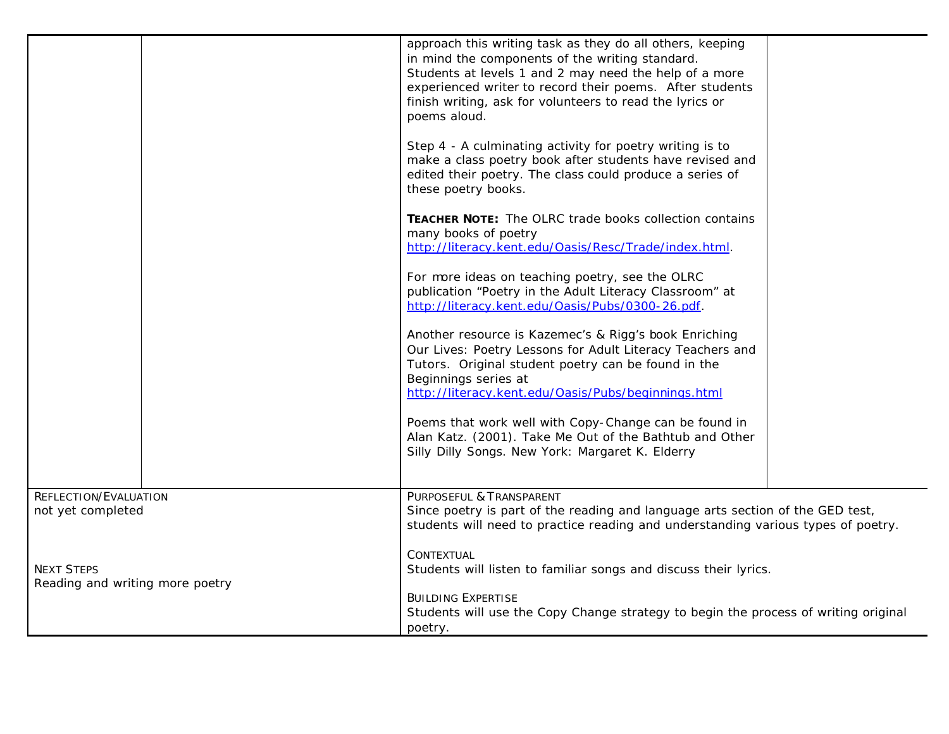|                                                      | approach this writing task as they do all others, keeping<br>in mind the components of the writing standard.<br>Students at levels 1 and 2 may need the help of a more<br>experienced writer to record their poems. After students<br>finish writing, ask for volunteers to read the lyrics or<br>poems aloud.<br>Step 4 - A culminating activity for poetry writing is to<br>make a class poetry book after students have revised and<br>edited their poetry. The class could produce a series of<br>these poetry books.<br>TEACHER NOTE: The OLRC trade books collection contains<br>many books of poetry<br>http://literacy.kent.edu/Oasis/Resc/Trade/index.html.<br>For more ideas on teaching poetry, see the OLRC<br>publication "Poetry in the Adult Literacy Classroom" at<br>http://literacy.kent.edu/Oasis/Pubs/0300-26.pdf.<br>Another resource is Kazemec's & Rigg's book Enriching<br>Our Lives: Poetry Lessons for Adult Literacy Teachers and<br>Tutors. Original student poetry can be found in the<br>Beginnings series at<br>http://literacy.kent.edu/Oasis/Pubs/beginnings.html<br>Poems that work well with Copy-Change can be found in<br>Alan Katz. (2001). Take Me Out of the Bathtub and Other<br>Silly Dilly Songs. New York: Margaret K. Elderry |  |  |
|------------------------------------------------------|----------------------------------------------------------------------------------------------------------------------------------------------------------------------------------------------------------------------------------------------------------------------------------------------------------------------------------------------------------------------------------------------------------------------------------------------------------------------------------------------------------------------------------------------------------------------------------------------------------------------------------------------------------------------------------------------------------------------------------------------------------------------------------------------------------------------------------------------------------------------------------------------------------------------------------------------------------------------------------------------------------------------------------------------------------------------------------------------------------------------------------------------------------------------------------------------------------------------------------------------------------------------------|--|--|
| REFLECTION/EVALUATION<br>not yet completed           | PURPOSEFUL & TRANSPARENT<br>Since poetry is part of the reading and language arts section of the GED test,<br>students will need to practice reading and understanding various types of poetry.                                                                                                                                                                                                                                                                                                                                                                                                                                                                                                                                                                                                                                                                                                                                                                                                                                                                                                                                                                                                                                                                            |  |  |
| <b>NEXT STEPS</b><br>Reading and writing more poetry | CONTEXTUAL<br>Students will listen to familiar songs and discuss their lyrics.                                                                                                                                                                                                                                                                                                                                                                                                                                                                                                                                                                                                                                                                                                                                                                                                                                                                                                                                                                                                                                                                                                                                                                                             |  |  |
|                                                      | <b>BUILDING EXPERTISE</b><br>Students will use the Copy Change strategy to begin the process of writing original<br>poetry.                                                                                                                                                                                                                                                                                                                                                                                                                                                                                                                                                                                                                                                                                                                                                                                                                                                                                                                                                                                                                                                                                                                                                |  |  |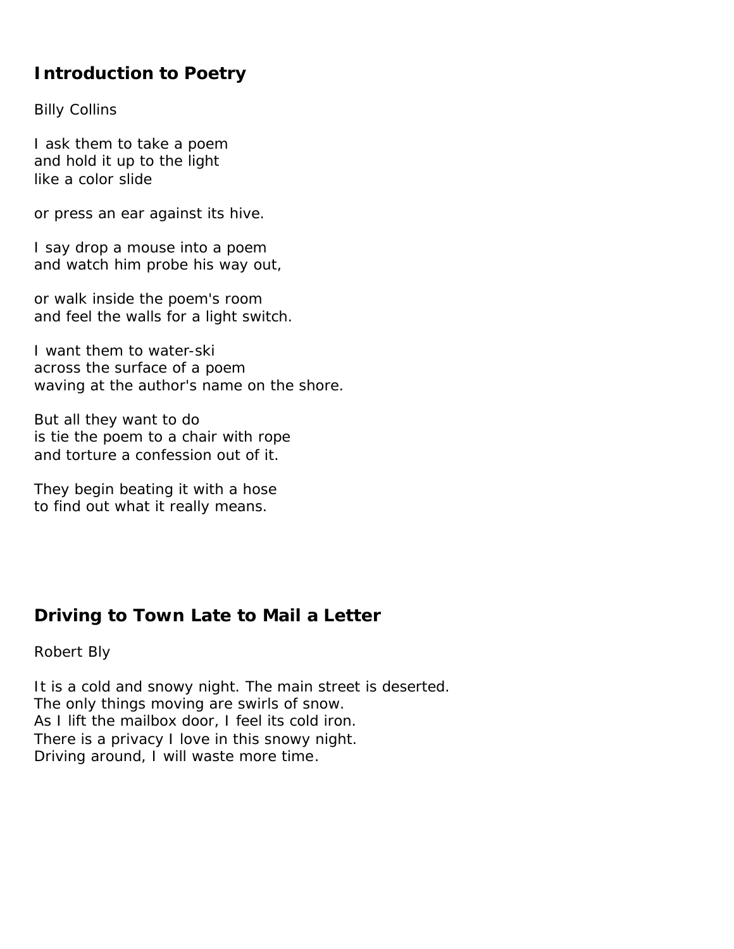# **Introduction to Poetry**

*Billy Collins*

I ask them to take a poem and hold it up to the light like a color slide

or press an ear against its hive.

I say drop a mouse into a poem and watch him probe his way out,

or walk inside the poem's room and feel the walls for a light switch.

I want them to water-ski across the surface of a poem waving at the author's name on the shore.

But all they want to do is tie the poem to a chair with rope and torture a confession out of it.

They begin beating it with a hose to find out what it really means.

# **Driving to Town Late to Mail a Letter**

*Robert Bly*

It is a cold and snowy night. The main street is deserted. The only things moving are swirls of snow. As I lift the mailbox door, I feel its cold iron. There is a privacy I love in this snowy night. Driving around, I will waste more time.